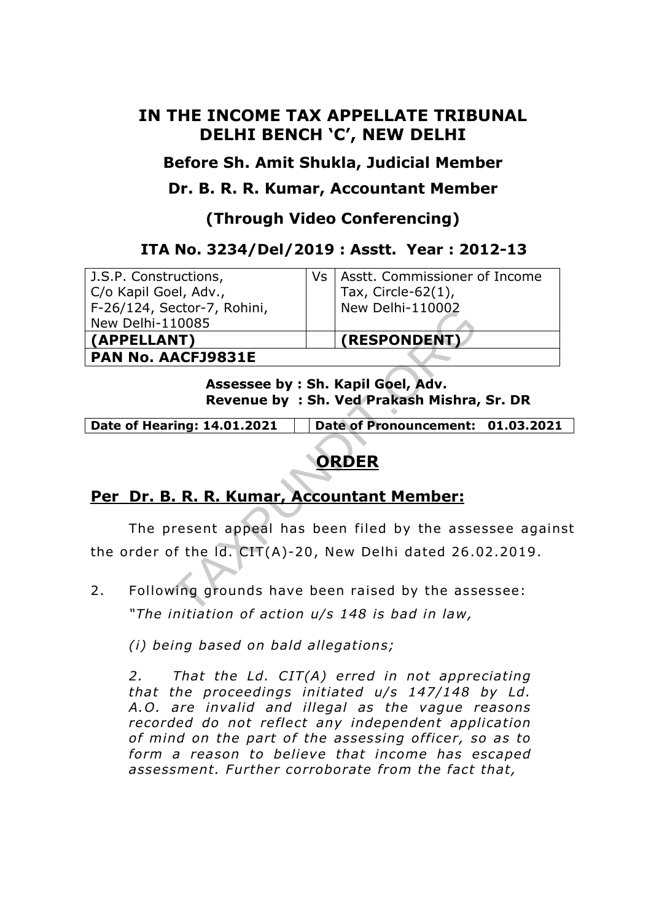## **IN THE INCOME TAX APPELLATE TRIBUNAL DELHI BENCH 'C', NEW DELHI**

**Before Sh. Amit Shukla, Judicial Member** 

**Dr. B. R. R. Kumar, Accountant Member** 

**(Through Video Conferencing)** 

### **ITA No. 3234/Del/2019 : Asstt. Year : 2012-13**

 J.S.P. Constructions, C/o Kapil Goel, Adv., F-26/124, Sector-7, Rohini, New Delhi-110085 **(APPELLANT) (RESPONDENT)**

Vs | Asstt. Commissioner of Income Tax, Circle-62(1), New Delhi-110002

**PAN No. AACFJ9831E**

**Assessee by : Sh. Kapil Goel, Adv. Revenue by : Sh. Ved Prakash Mishra, Sr. DR**

**Date of Hearing: 14.01.2021 Date of Pronouncement: 01.03.2021** 

# **ORDER**

## **Per Dr. B. R. R. Kumar, Accountant Member:**

 The present appeal has been filed by the assessee against the order of the ld. CIT(A)-20 , New Delhi dated 26 .02.2019 . ector-7, Rohini,<br>
NEW Delhi-110002<br>
10085<br>
NET)<br>
ACFJ9831E<br>
Assessee by : Sh. Kapil Goel, Adv.<br>
Revenue by : Sh. Ved Prakash Mishra,<br>
ring: 14.01.2021 Date of Pronouncement:<br>
ORDER<br>
. R. R. Kumar, Accountant Member:<br>
resen

2. Following grounds have been raised by the assessee: *"The initiation of action u/s 148 is bad in law,* 

*(i) being based on bald allegations;* 

*2. That the Ld. CIT(A) erred in not appreciating that the proceedings initiated u/s 147/148 by Ld. A.O. are invalid and illegal as the vague reasons recorded do not re flect any independent application*  of mind on the part of the assessing officer, so as to *form a reason to believe that income has escaped assessment. Further corroborate from the fact that,*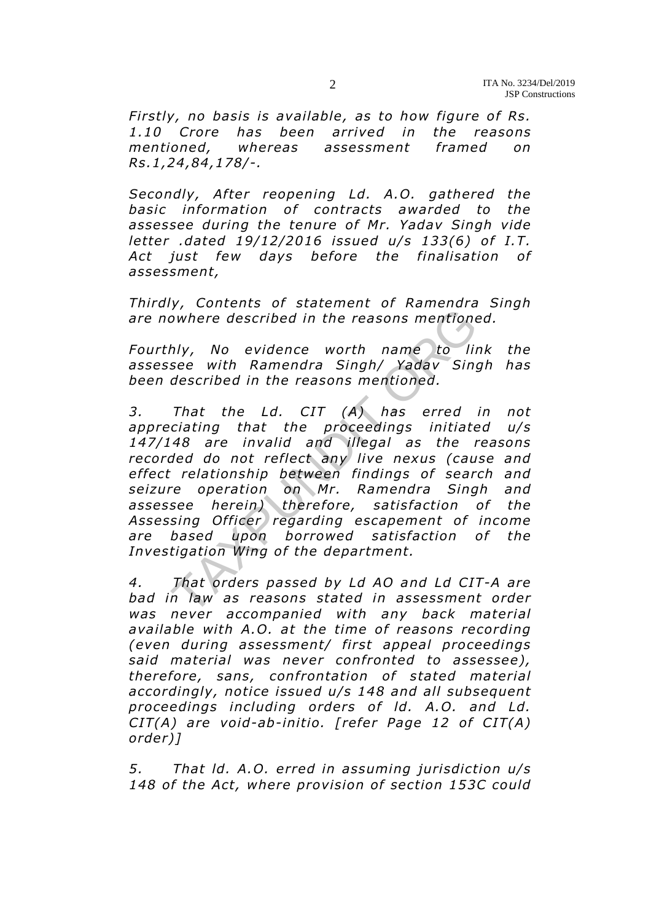*Firstly, no basis is available, as to how figure of Rs. 1.10 Crore has been arrived in the reasons mentioned, whereas assessment framed on Rs.1 ,24,84 ,178/-.* 

*Secondly, After reopening Ld. A.O. gathered the basic information of contracts awarded to the assessee during the tenure of Mr. Yadav Singh vide letter .dated 19/12/2016 issued u/s 133(6) of I.T. Act just few days before the finalisation of assessment,* 

*Thirdly, Contents of statement of Ramendra Singh are nowhere described in the reasons mentioned.* 

*Fourthly, No evidence worth name to link the assessee with Ramendra Singh/ Yadav Singh has been described in the reasons mentioned.* 

*3. That the Ld. CIT (A) has erred in not appreciating that the proceedings initiated u/s 147/148 are invalid and illegal as the reasons recorded do not reflect any live nexus (cause and effect relationship between findings of search and seizure operation on Mr. Ramendra Singh and*  assessee herein) therefore, satisfaction of the Assessing Officer regarding escapement of income are based upon borrowed satisfaction of the Investigation Wing of the department. owhere described in the reasons mentione<br>hly, No evidence worth name to linse<br>with Ramendra Singh/Yadav Sing<br>described in the reasons mentioned.<br>That the Ld. CIT (A) has erred<br>ciating that the proceedings initiate<br>cating t

*4. That orders passed by Ld AO and Ld CIT-A are bad in law as reasons stated in assessment order was never accompanied with any back material*  available with A.O. at the time of reasons recording *(even during assessment/ first appeal proceedings said material was never con fronted to assessee), there fore, sans , confrontation of stated material accordingly, notice issued u/s 148 and all subsequent*  proceedings including orders of Id. A.O. and Ld. *CIT(A) are void-ab-initio. [refer Page 12 of CIT(A) order)]* 

*5. That ld. A.O. erred in assuming jurisdiction u/s 148 of the Act, where provision of section 153C could*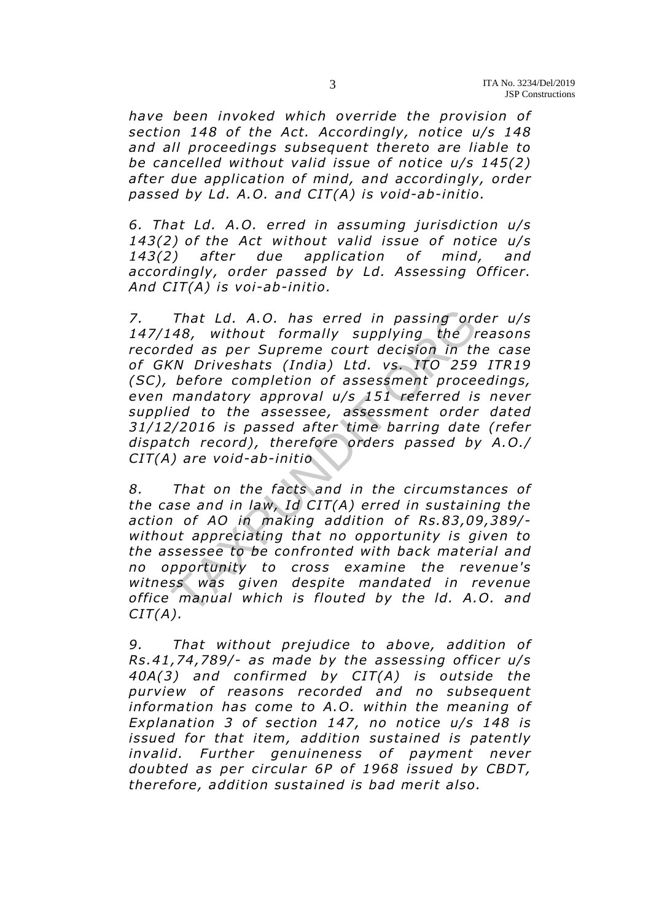*have been invoked which override the provision of section 148 of the Act. Accordingly, notice u/s 148 and all proceedings subsequent thereto are liable to be cancelled without valid issue of notice u/s 145(2) after due application of mind, and accordingly, order passed by Ld. A.O. and CIT(A) is void-ab-initio .* 

*6. That Ld. A.O. erred in assuming jurisdiction u/s*  143(2) of the Act without valid issue of notice u/s *143(2) after due application of mind, and accordingly, order passed by Ld. Assessing Officer. And CIT(A) is voi-ab-initio .* 

*7. That Ld. A.O. has erred in passing order u/s 147/148, without formally supplying the reasons recorded as per Supreme court decision in the case of GKN Driveshats (India) Ltd. vs . ITO 259 ITR19 (SC)*, before completion of assessment proceedings, *even mandatory approval u/s 151 referred is never supplied to the assessee , assessment order dated 31/12/2016 is passed a fter time barring date (refer*  dispatch record), therefore orders passed by A.O./ *CIT(A) are void-ab-initio*  That Ld. A.O. has erred in passing orc<br>48, without formally supplying the r<br>ded as per Supreme court decision in th<br>KN Driveshats (India) Ltd. vs. ITO 259<br>before completion of assessment proce-<br>mandatory approval u/s 151 r

*8. That on the facts and in the circumstances of the case and in law, Id CIT(A) erred in sustaining the action of AO in making addition of Rs.83 ,09,389/ without appreciating that no opportunity is given to the assessee to be confronted with back material and no opportunity to cross examine the revenue's witness was given despite mandated in revenue office manual which is flouted by the ld. A.O. and CIT(A).* 

*9. That without prejudice to above, addition of Rs.41 ,74,789/- as made by the assessing o fficer u/s 40A(3) and confirmed by CIT(A) is outside the purview of reasons recorded and no subsequent information has come to A.O. within the meaning of Explanation 3 of section 147, no notice u/s 148 is issued for that item, addition sustained is patently invalid. Further genuineness of payment never doubted as per circular 6P of 1968 issued by CBDT, there fore, addition sustained is bad merit also.*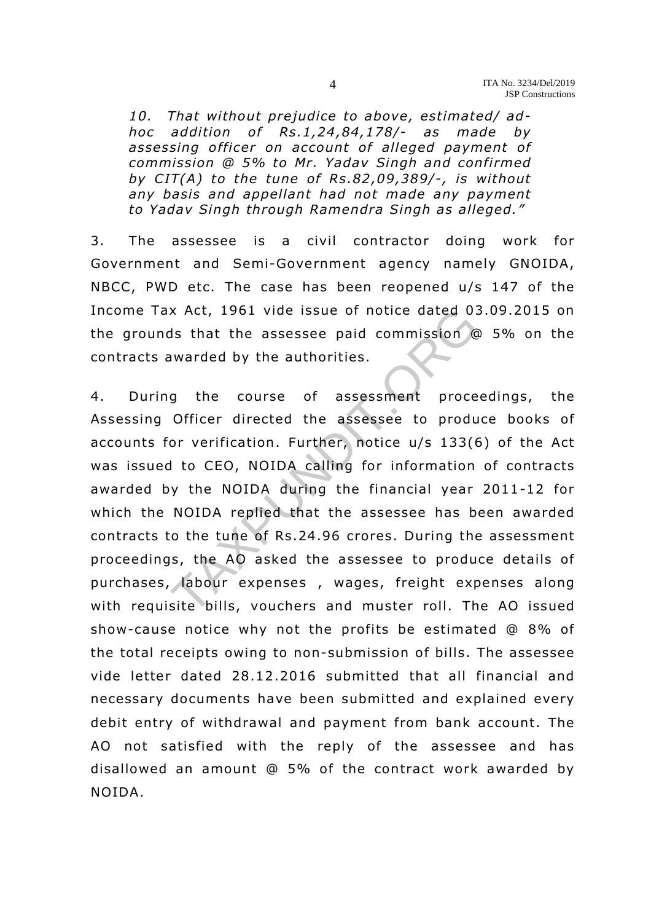10. That without prejudice to above, estimated/ ad*hoc addition of Rs.1,24,84,178/- as made by assessing o fficer on account of alleged payment of commission @ 5% to Mr. Yadav Singh and confirmed by CIT(A) to the tune of Rs.82 ,09 ,389/-, is without any basis and appellant had not made any payment to Yadav Singh through Ramendra Singh as alleged."*

3. The assessee is a civil contractor doing work for Government and Semi-Government agency namely GNOIDA, NBCC, PWD etc. The case has been reopened u/s 147 of the Income Tax Act, 1961 vide issue of notice dated 03.09.2015 on the grounds that the assessee paid commission @ 5% on the contracts awarded by the authorities.

4. During the course of assessment proceedings, the Assessing Officer directed the assessee to produce books of accounts for verification. Further, notice u/s 133(6) of the Act was issued to CEO, NOIDA calling for information of contracts awarded by the NOIDA during the financial year 2011-12 for which the NOIDA replied that the assessee has been awarded contracts to the tune of Rs.24.96 crores. During the assessment proceedings, the AO asked the assessee to produce details of purchases, labour expenses , wages, freight expenses along with requisite bills, vouchers and muster roll. The AO issued show-cause notice why not the profits be estimated  $@8\%$  of the total receipts owing to non-submission of bills. The assessee vide letter dated 28.12 .2016 submitted that all financial and necessary documents have been submitted and explained every debit entry of withdrawal and payment from bank account. The AO not satisfied with the reply of the assessee and has disallowed an amount @ 5% of the contract work awarded by NOIDA. x Act, 1961 vide issue of notice dated 03<br>Is that the assessee paid commission @<br>warded by the authorities.<br>g the course of assessment proce<br>Officer directed the assessee to produ<br>or verification. Further, notice u/s 133(6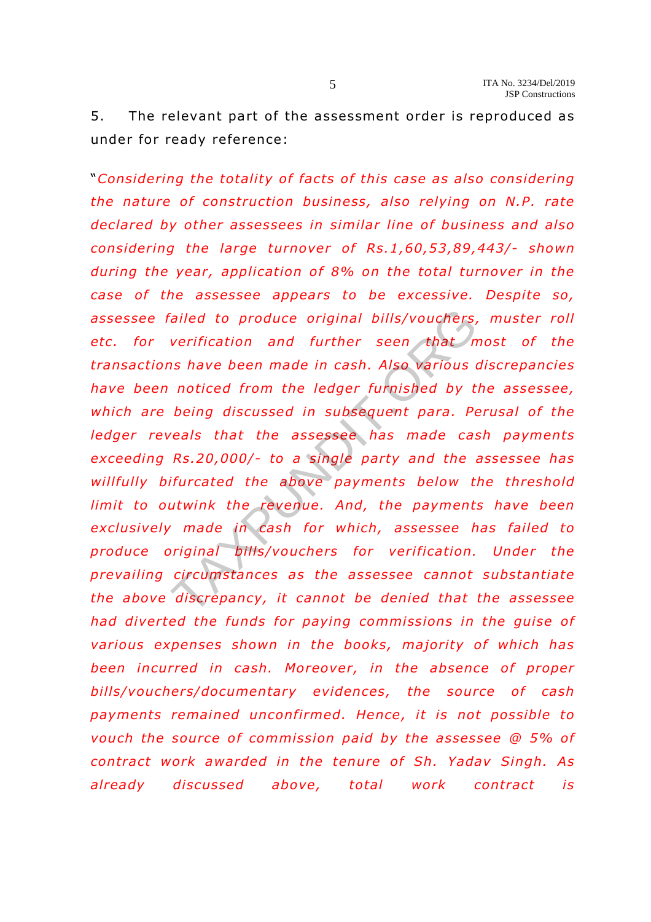5. The relevant part of the assessment order is reproduced as under for ready reference:

"*Considering the totality of facts o f this case as also considering the nature of construction business, also relying on N.P. rate* declared by other assessees in similar line of business and also *considering the large turnover of Rs.1,60,53,89,443/- shown* during the year, application of 8% on the total turnover in the *case of the assessee appears to be excessive. Despite so,* assessee failed to produce original bills/vouchers, muster roll etc. for verification and further seen that most of the *transactions have been made in cash. Also various discrepancies have been noticed from the ledger furnished by the assessee ,*  which are being discussed in subsequent para. Perusal of the *ledger reveals that the assessee has made cash payments exceeding Rs.20,000/- to a single party and the assessee has willfully bifurcated the above payments below the threshold limit to outwink the revenue. And, the payments have been exclusively made in cash for which, assessee has failed to produce original bills/vouchers for verification. Under the prevailing circumstances as the assessee cannot substantiate the above discrepancy, it cannot be denied that the assessee*  had diverted the funds for paying commissions in the guise of *various expenses shown in the books, ma jority of which has*  been incurred in cash. Moreover, in the absence of proper bills/vouchers/documentary evidences, the source of cash *payments remained unconfirmed. Hence , it is not possible to vouch the source of commission paid by the assessee @ 5% of contract work awarded in the tenure of Sh. Yadav Singh. As already discussed above, total work contract is*  Figure 1 and further seen that<br>
werification and further seen that<br>
in have been made in cash. Also various<br>
noticed from the ledger furnished by t.<br>
being discussed in subsequent para. Pe<br>
reals that the assessee has made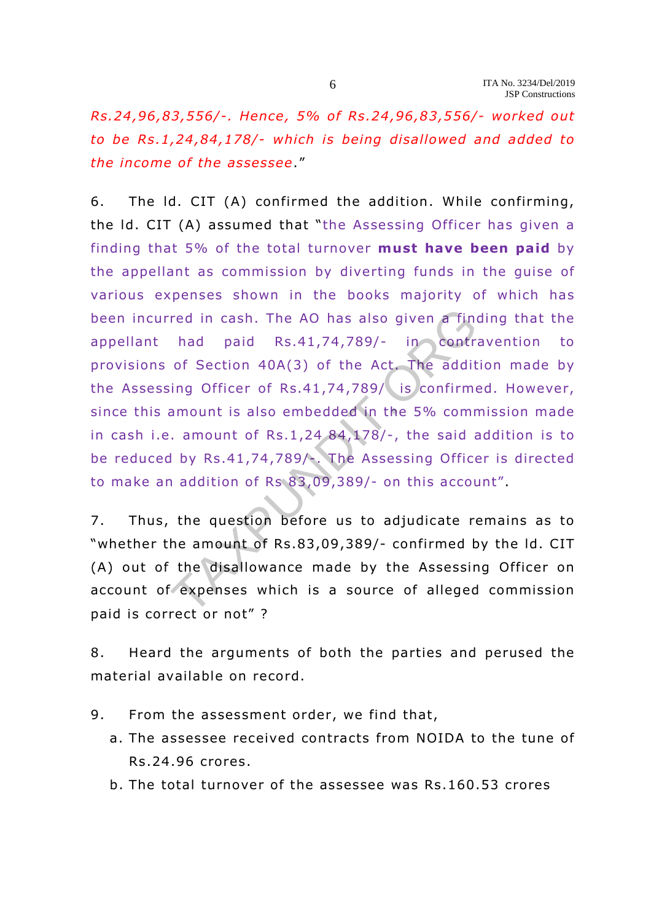*Rs.24 ,96,83 ,556/-. Hence , 5% of Rs .24 ,96,83 ,556/- worked out to be Rs .1,24 ,84 ,178/- which is being disallowed and added to the income of the assessee*."

6. The ld. CIT (A) confirmed the addition . While confirming, the ld. CIT (A) assumed that "the Assessing Officer has given a finding that 5% of the total turnover **must have been paid** by the appellant as commission by diverting funds in the guise of various expenses shown in the books majority of which has been incurred in cash. The AO has also given a finding that the appellant had paid Rs.41,74,789/- in contravention to provisions of Section 40A(3) of the Act. The addition made by the Assessing Officer of Rs.41,74,789/ is confirmed. However, since this amount is also embedded in the 5% commission made in cash i.e. amount of Rs.1,24  $84,178/$ -, the said addition is to be reduced by Rs.41,74,789/-. The Assessing Officer is directed to make an addition of Rs 83 ,09,389/- on this account". red in cash. The AO has also given a find<br>had paid Rs.41,74,789/- in contra<br>of Section 40A(3) of the Act. The addit<br>ing Officer of Rs.41,74,789/ is confirme<br>amount is also embedded in the 5% comr<br>amount of Rs.1,24 84,178/

7. Thus, the question before us to adjudicate remains as to "whether the amount of Rs.83,09,389/- confirmed by the Id. CIT (A) out of the disallowance made by the Assessing Officer on account of expenses which is a source of alleged commission paid is correct or not"?

8. Heard the arguments of both the parties and perused the material available on record.

- 9. From the assessment order, we find that,
	- a. The assessee received contracts from NOIDA to the tune of Rs.24 .96 crores.
	- b. The total turnover of the assessee was Rs .160.53 crores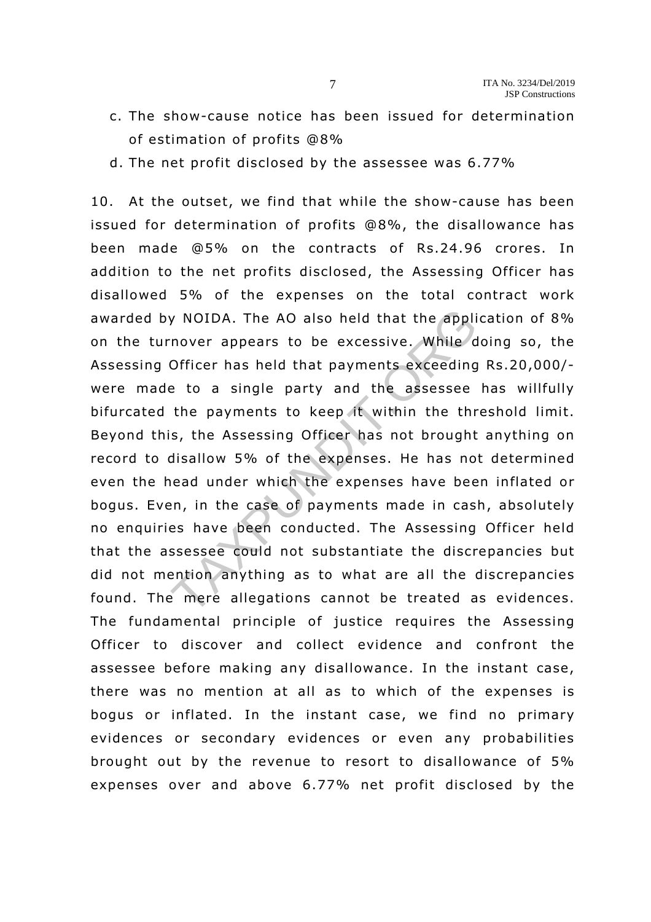- c. The show-cause notice has been issued for determination of estimation of profits @8%
- d. The net profit disclosed by the assessee was  $6.77\%$

10. At the outset, we find that while the show-cause has been issued for determination of profits  $@8\%$ , the disallowance has been made  $@5\%$  on the contracts of Rs. 24.96 crores. In addition to the net profits disclosed, the Assessing Officer has disallowed 5% of the expenses on the total contract work awarded by NOIDA. The AO also held that the application of 8% on the turnover appears to be excessive . While doing so, the Assessing Officer has held that payments exceeding Rs .20,000/ were made to a single party and the assessee has willfully bifurcated the payments to keep it within the threshold limit. Beyond this, the Assessing Officer has not brought anything on record to disallow 5% of the expenses. He has not determined even the head under which the expenses have been inflated or bogus. Even, in the case of payments made in cash, absolutely no enquiries have been conducted. The Assessing Officer held that the assessee could not substantiate the discrepancies but did not mention anything as to what are all the discrepancies found. The mere allegations cannot be treated as evidences. The fundamental principle of justice requires the Assessing Officer to discover and collect evidence and confront the assessee before making any disallowance. In the instant case, there was no mention at all as to which of the expenses is bogus or inflated. In the instant case, we find no primary evidences or secondary evidences or even any probabilities brought out by the revenue to resort to disallowance of 5% expenses over and above 6.77% net profit disclosed by the y NOIDA. The AO also held that the appli<br>nover appears to be excessive. While d<br>Officer has held that payments exceeding<br>e to a single party and the assessee<br>the payments to keep it within the thr<br>s, the Assessing Officer